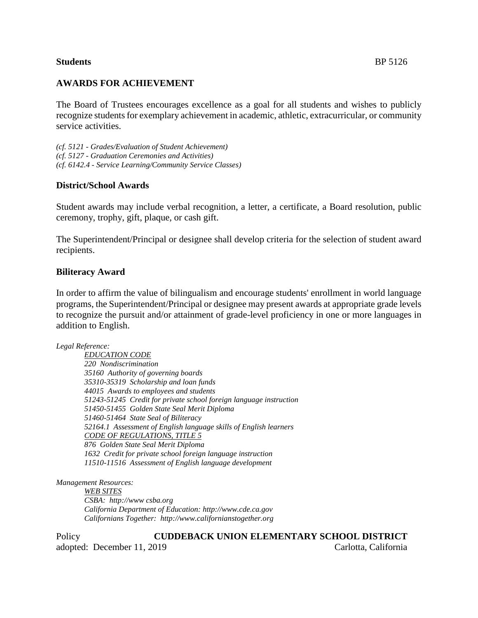# **Students** BP 5126

# **AWARDS FOR ACHIEVEMENT**

The Board of Trustees encourages excellence as a goal for all students and wishes to publicly recognize students for exemplary achievement in academic, athletic, extracurricular, or community service activities.

*(cf. 5121 - Grades/Evaluation of Student Achievement) (cf. 5127 - Graduation Ceremonies and Activities) (cf. 6142.4 - Service Learning/Community Service Classes)*

### **District/School Awards**

Student awards may include verbal recognition, a letter, a certificate, a Board resolution, public ceremony, trophy, gift, plaque, or cash gift.

The Superintendent/Principal or designee shall develop criteria for the selection of student award recipients.

### **Biliteracy Award**

In order to affirm the value of bilingualism and encourage students' enrollment in world language programs, the Superintendent/Principal or designee may present awards at appropriate grade levels to recognize the pursuit and/or attainment of grade-level proficiency in one or more languages in addition to English.

*Legal Reference:*

*EDUCATION CODE 220 Nondiscrimination 35160 Authority of governing boards 35310-35319 Scholarship and loan funds 44015 Awards to employees and students 51243-51245 Credit for private school foreign language instruction 51450-51455 Golden State Seal Merit Diploma 51460-51464 State Seal of Biliteracy 52164.1 Assessment of English language skills of English learners CODE OF REGULATIONS, TITLE 5 876 Golden State Seal Merit Diploma 1632 Credit for private school foreign language instruction 11510-11516 Assessment of English language development*

*Management Resources:*

*WEB SITES CSBA: http://www csba.org California Department of Education: http://www.cde.ca.gov Californians Together: http://www.californianstogether.org*

Policy **CUDDEBACK UNION ELEMENTARY SCHOOL DISTRICT** adopted: December 11, 2019 Carlotta, California